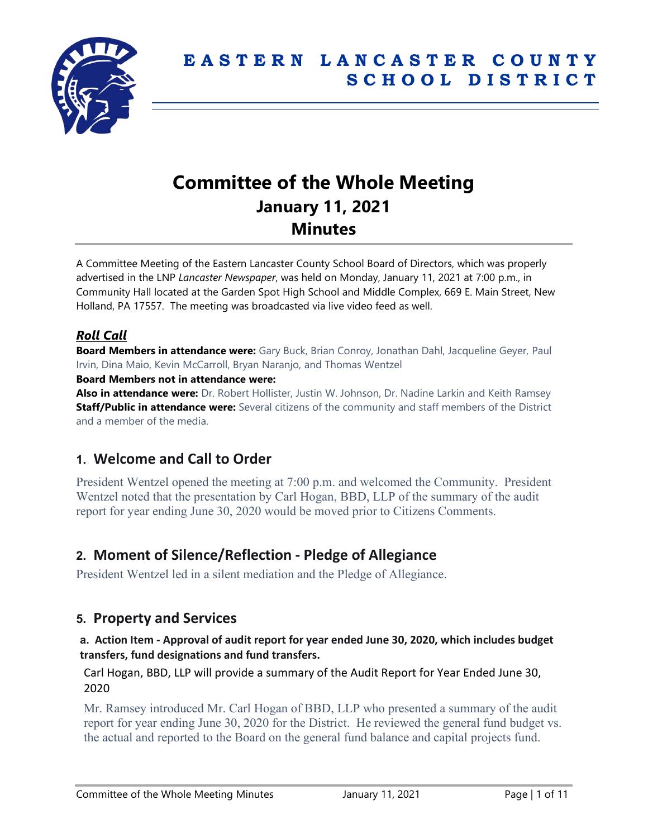

# **Committee of the Whole Meeting January 11, 2021 Minutes**

A Committee Meeting of the Eastern Lancaster County School Board of Directors, which was properly advertised in the LNP *Lancaster Newspaper*, was held on Monday, January 11, 2021 at 7:00 p.m., in Community Hall located at the Garden Spot High School and Middle Complex, 669 E. Main Street, New Holland, PA 17557. The meeting was broadcasted via live video feed as well.

# *Roll Call*

**Board Members in attendance were:** Gary Buck, Brian Conroy, Jonathan Dahl, Jacqueline Geyer, Paul Irvin, Dina Maio, Kevin McCarroll, Bryan Naranjo, and Thomas Wentzel

### **Board Members not in attendance were:**

**Also in attendance were:** Dr. Robert Hollister, Justin W. Johnson, Dr. Nadine Larkin and Keith Ramsey **Staff/Public in attendance were:** Several citizens of the community and staff members of the District and a member of the media.

# **1. Welcome and Call to Order**

President Wentzel opened the meeting at 7:00 p.m. and welcomed the Community. President Wentzel noted that the presentation by Carl Hogan, BBD, LLP of the summary of the audit report for year ending June 30, 2020 would be moved prior to Citizens Comments.

# **2. Moment of Silence/Reflection - Pledge of Allegiance**

President Wentzel led in a silent mediation and the Pledge of Allegiance.

# **5. Property and Services**

#### **a. Action Item - Approval of audit report for year ended June 30, 2020, which includes budget transfers, fund designations and fund transfers.**

Carl Hogan, BBD, LLP will provide a summary of the Audit Report for Year Ended June 30, 2020

Mr. Ramsey introduced Mr. Carl Hogan of BBD, LLP who presented a summary of the audit report for year ending June 30, 2020 for the District. He reviewed the general fund budget vs. the actual and reported to the Board on the general fund balance and capital projects fund.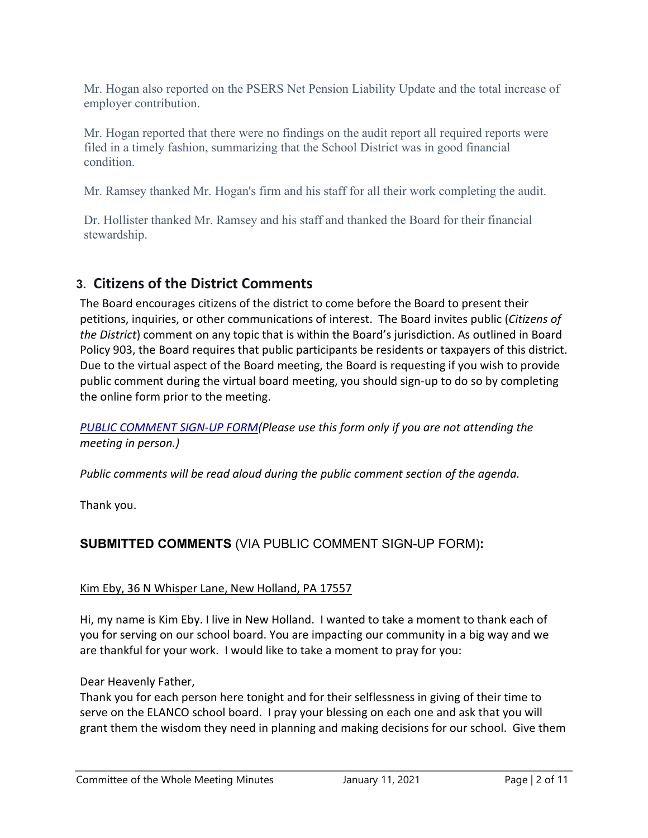Mr. Hogan also reported on the PSERS Net Pension Liability Update and the total increase of employer contribution.

Mr. Hogan reported that there were no findings on the audit report all required reports were filed in a timely fashion, summarizing that the School District was in good financial condition.

Mr. Ramsey thanked Mr. Hogan's firm and his staff for all their work completing the audit.

Dr. Hollister thanked Mr. Ramsey and his staff and thanked the Board for their financial stewardship.

# **3. Citizens of the District Comments**

The Board encourages citizens of the district to come before the Board to present their petitions, inquiries, or other communications of interest. The Board invites public (*Citizens of the District*) comment on any topic that is within the Board's jurisdiction. As outlined in Board Policy 903, the Board requires that public participants be residents or taxpayers of this district. Due to the virtual aspect of the Board meeting, the Board is requesting if you wish to provide public comment during the virtual board meeting, you should sign-up to do so by completing the online form prior to the meeting.

*[PUBLIC COMMENT SIGN-UP FORM\(](https://forms.gle/zDXXoX8rZQUxt1Ap6)Please use this form only if you are not attending the meeting in person.)*

*Public comments will be read aloud during the public comment section of the agenda.*

Thank you.

# **SUBMITTED COMMENTS** (VIA PUBLIC COMMENT SIGN-UP FORM)**:**

## Kim Eby, 36 N Whisper Lane, New Holland, PA 17557

Hi, my name is Kim Eby. I live in New Holland. I wanted to take a moment to thank each of you for serving on our school board. You are impacting our community in a big way and we are thankful for your work. I would like to take a moment to pray for you:

# Dear Heavenly Father,

Thank you for each person here tonight and for their selflessness in giving of their time to serve on the ELANCO school board. I pray your blessing on each one and ask that you will grant them the wisdom they need in planning and making decisions for our school. Give them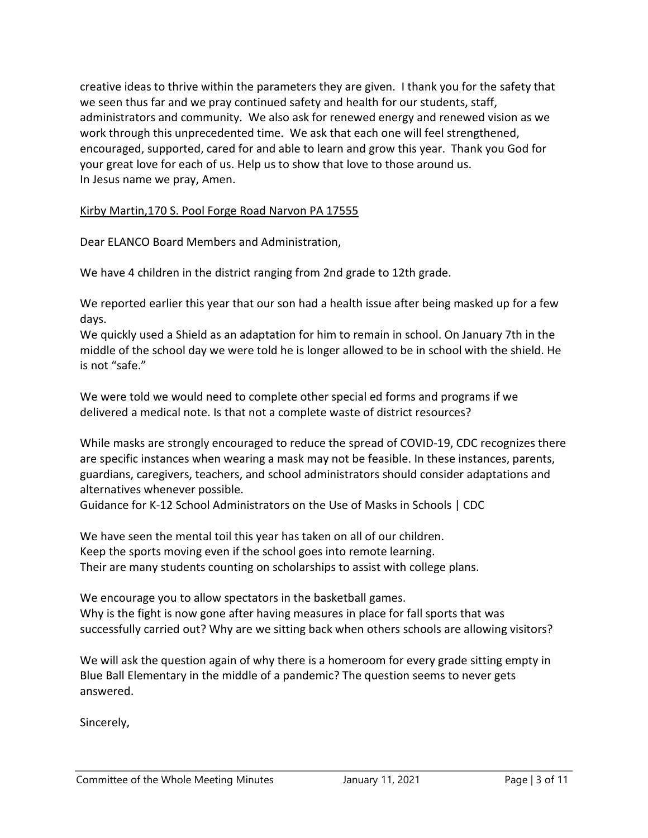creative ideas to thrive within the parameters they are given. I thank you for the safety that we seen thus far and we pray continued safety and health for our students, staff, administrators and community. We also ask for renewed energy and renewed vision as we work through this unprecedented time. We ask that each one will feel strengthened, encouraged, supported, cared for and able to learn and grow this year. Thank you God for your great love for each of us. Help us to show that love to those around us. In Jesus name we pray, Amen.

#### Kirby Martin,170 S. Pool Forge Road Narvon PA 17555

Dear ELANCO Board Members and Administration,

We have 4 children in the district ranging from 2nd grade to 12th grade.

We reported earlier this year that our son had a health issue after being masked up for a few days.

We quickly used a Shield as an adaptation for him to remain in school. On January 7th in the middle of the school day we were told he is longer allowed to be in school with the shield. He is not "safe."

We were told we would need to complete other special ed forms and programs if we delivered a medical note. Is that not a complete waste of district resources?

While masks are strongly encouraged to reduce the spread of COVID-19, CDC recognizes there are specific instances when wearing a mask may not be feasible. In these instances, parents, guardians, caregivers, teachers, and school administrators should consider adaptations and alternatives whenever possible.

Guidance for K-12 School Administrators on the Use of Masks in Schools | CDC

We have seen the mental toil this year has taken on all of our children. Keep the sports moving even if the school goes into remote learning. Their are many students counting on scholarships to assist with college plans.

We encourage you to allow spectators in the basketball games. Why is the fight is now gone after having measures in place for fall sports that was successfully carried out? Why are we sitting back when others schools are allowing visitors?

We will ask the question again of why there is a homeroom for every grade sitting empty in Blue Ball Elementary in the middle of a pandemic? The question seems to never gets answered.

Sincerely,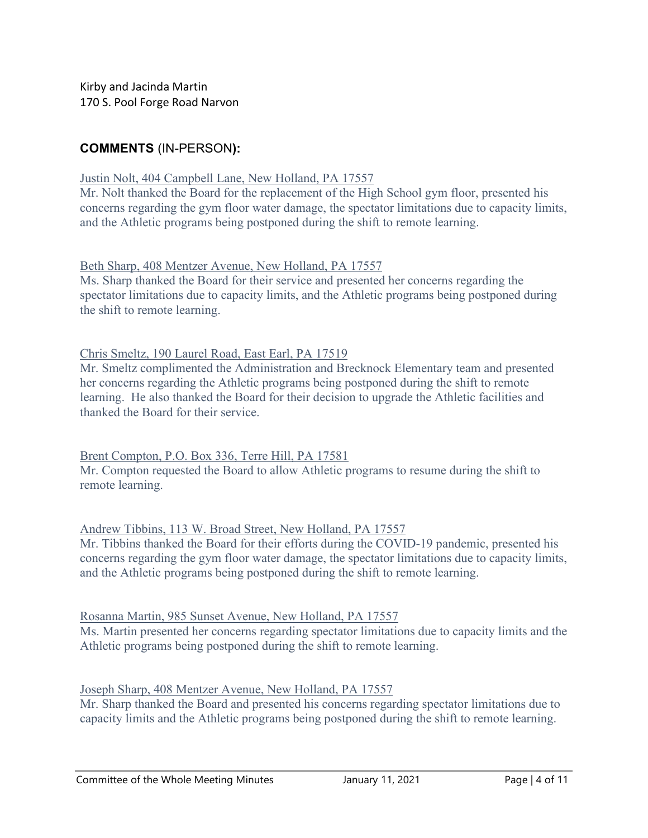Kirby and Jacinda Martin 170 S. Pool Forge Road Narvon

# **COMMENTS** (IN-PERSON**):**

#### Justin Nolt, 404 Campbell Lane, New Holland, PA 17557

Mr. Nolt thanked the Board for the replacement of the High School gym floor, presented his concerns regarding the gym floor water damage, the spectator limitations due to capacity limits, and the Athletic programs being postponed during the shift to remote learning.

Beth Sharp, 408 Mentzer Avenue, New Holland, PA 17557

Ms. Sharp thanked the Board for their service and presented her concerns regarding the spectator limitations due to capacity limits, and the Athletic programs being postponed during the shift to remote learning.

Chris Smeltz, 190 Laurel Road, East Earl, PA 17519

Mr. Smeltz complimented the Administration and Brecknock Elementary team and presented her concerns regarding the Athletic programs being postponed during the shift to remote learning. He also thanked the Board for their decision to upgrade the Athletic facilities and thanked the Board for their service.

### Brent Compton, P.O. Box 336, Terre Hill, PA 17581

Mr. Compton requested the Board to allow Athletic programs to resume during the shift to remote learning.

Andrew Tibbins, 113 W. Broad Street, New Holland, PA 17557

Mr. Tibbins thanked the Board for their efforts during the COVID-19 pandemic, presented his concerns regarding the gym floor water damage, the spectator limitations due to capacity limits, and the Athletic programs being postponed during the shift to remote learning.

Rosanna Martin, 985 Sunset Avenue, New Holland, PA 17557

Ms. Martin presented her concerns regarding spectator limitations due to capacity limits and the Athletic programs being postponed during the shift to remote learning.

### Joseph Sharp, 408 Mentzer Avenue, New Holland, PA 17557

Mr. Sharp thanked the Board and presented his concerns regarding spectator limitations due to capacity limits and the Athletic programs being postponed during the shift to remote learning.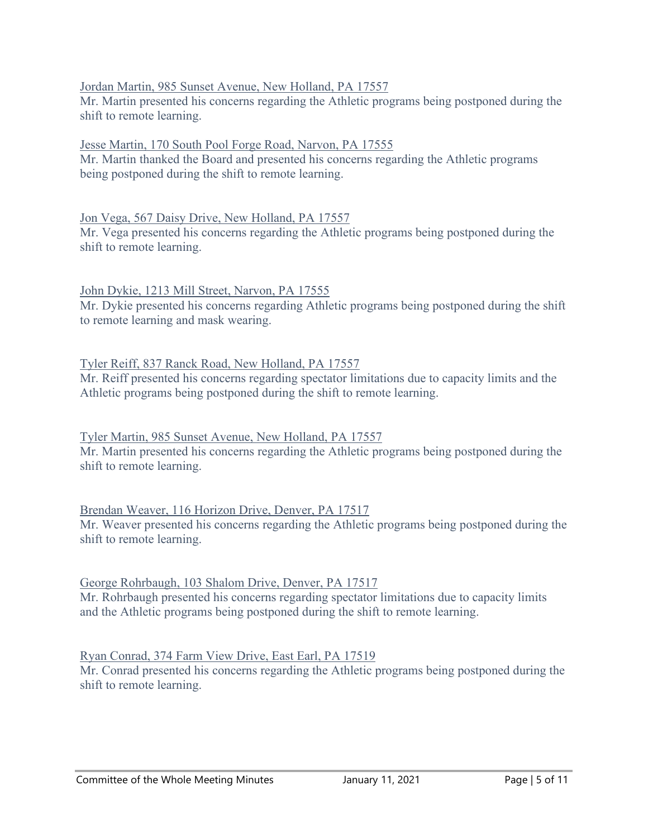### Jordan Martin, 985 Sunset Avenue, New Holland, PA 17557

Mr. Martin presented his concerns regarding the Athletic programs being postponed during the shift to remote learning.

### Jesse Martin, 170 South Pool Forge Road, Narvon, PA 17555

Mr. Martin thanked the Board and presented his concerns regarding the Athletic programs being postponed during the shift to remote learning.

### Jon Vega, 567 Daisy Drive, New Holland, PA 17557

Mr. Vega presented his concerns regarding the Athletic programs being postponed during the shift to remote learning.

### John Dykie, 1213 Mill Street, Narvon, PA 17555

Mr. Dykie presented his concerns regarding Athletic programs being postponed during the shift to remote learning and mask wearing.

## Tyler Reiff, 837 Ranck Road, New Holland, PA 17557

Mr. Reiff presented his concerns regarding spectator limitations due to capacity limits and the Athletic programs being postponed during the shift to remote learning.

## Tyler Martin, 985 Sunset Avenue, New Holland, PA 17557

Mr. Martin presented his concerns regarding the Athletic programs being postponed during the shift to remote learning.

## Brendan Weaver, 116 Horizon Drive, Denver, PA 17517

Mr. Weaver presented his concerns regarding the Athletic programs being postponed during the shift to remote learning.

### George Rohrbaugh, 103 Shalom Drive, Denver, PA 17517

Mr. Rohrbaugh presented his concerns regarding spectator limitations due to capacity limits and the Athletic programs being postponed during the shift to remote learning.

## Ryan Conrad, 374 Farm View Drive, East Earl, PA 17519

Mr. Conrad presented his concerns regarding the Athletic programs being postponed during the shift to remote learning.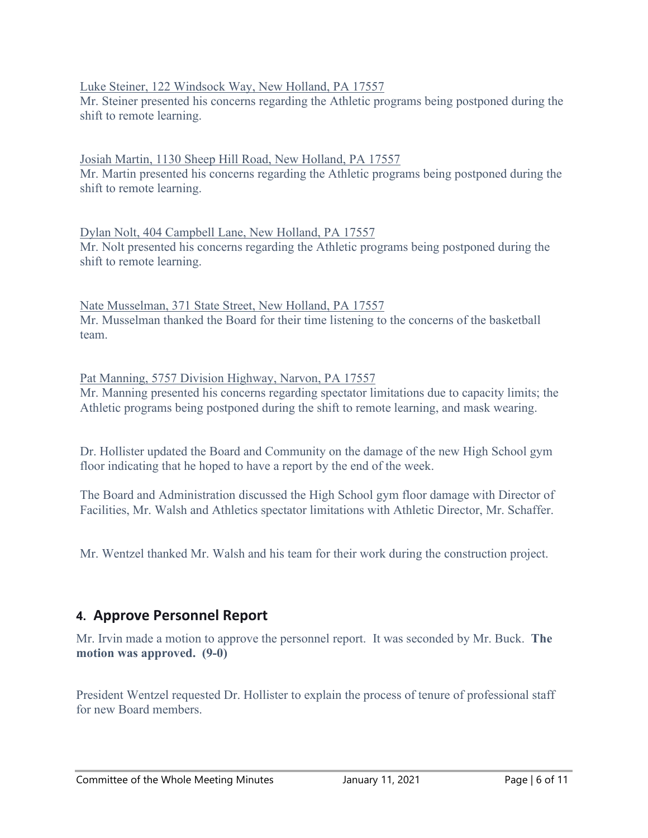### Luke Steiner, 122 Windsock Way, New Holland, PA 17557

Mr. Steiner presented his concerns regarding the Athletic programs being postponed during the shift to remote learning.

Josiah Martin, 1130 Sheep Hill Road, New Holland, PA 17557 Mr. Martin presented his concerns regarding the Athletic programs being postponed during the shift to remote learning.

Dylan Nolt, 404 Campbell Lane, New Holland, PA 17557 Mr. Nolt presented his concerns regarding the Athletic programs being postponed during the shift to remote learning.

Nate Musselman, 371 State Street, New Holland, PA 17557 Mr. Musselman thanked the Board for their time listening to the concerns of the basketball team.

Pat Manning, 5757 Division Highway, Narvon, PA 17557 Mr. Manning presented his concerns regarding spectator limitations due to capacity limits; the Athletic programs being postponed during the shift to remote learning, and mask wearing.

Dr. Hollister updated the Board and Community on the damage of the new High School gym floor indicating that he hoped to have a report by the end of the week.

The Board and Administration discussed the High School gym floor damage with Director of Facilities, Mr. Walsh and Athletics spectator limitations with Athletic Director, Mr. Schaffer.

Mr. Wentzel thanked Mr. Walsh and his team for their work during the construction project.

# **4. Approve Personnel Report**

Mr. Irvin made a motion to approve the personnel report. It was seconded by Mr. Buck. **The motion was approved. (9-0)**

President Wentzel requested Dr. Hollister to explain the process of tenure of professional staff for new Board members.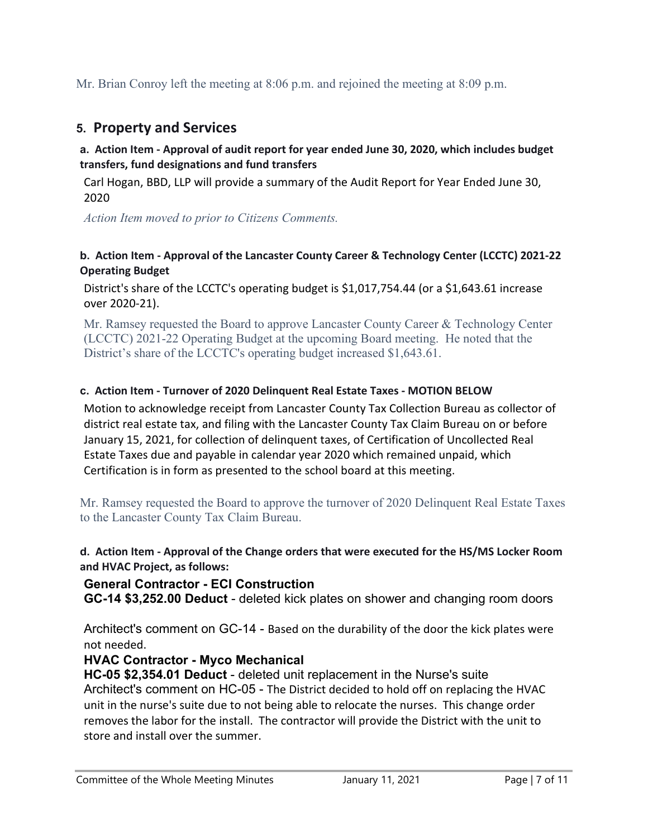Mr. Brian Conroy left the meeting at 8:06 p.m. and rejoined the meeting at 8:09 p.m.

# **5. Property and Services**

### **a. Action Item - Approval of audit report for year ended June 30, 2020, which includes budget transfers, fund designations and fund transfers**

Carl Hogan, BBD, LLP will provide a summary of the Audit Report for Year Ended June 30, 2020

*Action Item moved to prior to Citizens Comments.*

### **b. Action Item - Approval of the Lancaster County Career & Technology Center (LCCTC) 2021-22 Operating Budget**

District's share of the LCCTC's operating budget is \$1,017,754.44 (or a \$1,643.61 increase over 2020-21).

Mr. Ramsey requested the Board to approve Lancaster County Career & Technology Center (LCCTC) 2021-22 Operating Budget at the upcoming Board meeting. He noted that the District's share of the LCCTC's operating budget increased \$1,643.61.

### **c. Action Item - Turnover of 2020 Delinquent Real Estate Taxes - MOTION BELOW**

Motion to acknowledge receipt from Lancaster County Tax Collection Bureau as collector of district real estate tax, and filing with the Lancaster County Tax Claim Bureau on or before January 15, 2021, for collection of delinquent taxes, of Certification of Uncollected Real Estate Taxes due and payable in calendar year 2020 which remained unpaid, which Certification is in form as presented to the school board at this meeting.

Mr. Ramsey requested the Board to approve the turnover of 2020 Delinquent Real Estate Taxes to the Lancaster County Tax Claim Bureau.

**d. Action Item - Approval of the Change orders that were executed for the HS/MS Locker Room and HVAC Project, as follows:**

### **General Contractor - ECI Construction**

**GC-14 \$3,252.00 Deduct** - deleted kick plates on shower and changing room doors

Architect's comment on GC-14 - Based on the durability of the door the kick plates were not needed.

## **HVAC Contractor - Myco Mechanical**

**HC-05 \$2,354.01 Deduct** - deleted unit replacement in the Nurse's suite Architect's comment on HC-05 - The District decided to hold off on replacing the HVAC unit in the nurse's suite due to not being able to relocate the nurses. This change order removes the labor for the install. The contractor will provide the District with the unit to store and install over the summer.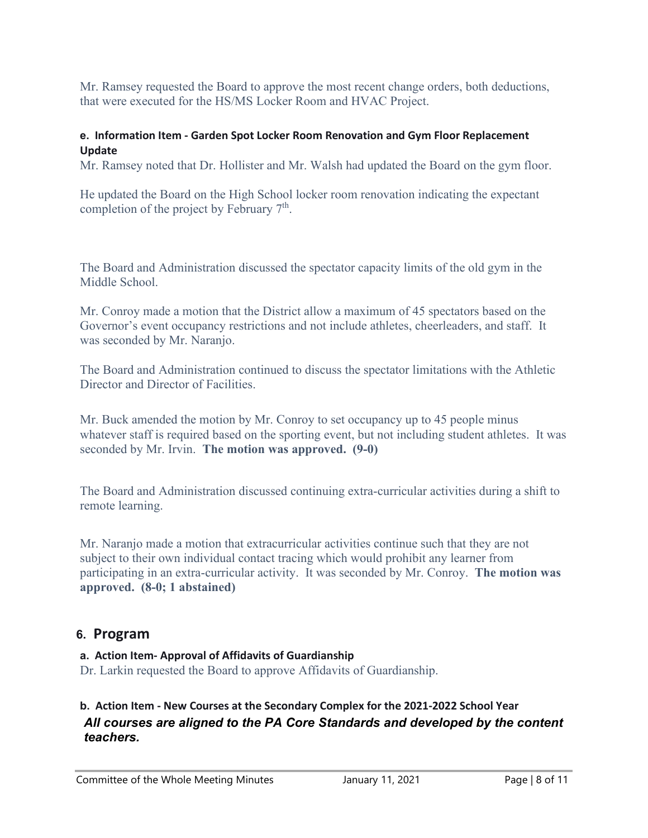Mr. Ramsey requested the Board to approve the most recent change orders, both deductions, that were executed for the HS/MS Locker Room and HVAC Project.

#### **e. Information Item - Garden Spot Locker Room Renovation and Gym Floor Replacement Update**

Mr. Ramsey noted that Dr. Hollister and Mr. Walsh had updated the Board on the gym floor.

He updated the Board on the High School locker room renovation indicating the expectant completion of the project by February  $7<sup>th</sup>$ .

The Board and Administration discussed the spectator capacity limits of the old gym in the Middle School.

Mr. Conroy made a motion that the District allow a maximum of 45 spectators based on the Governor's event occupancy restrictions and not include athletes, cheerleaders, and staff. It was seconded by Mr. Naranjo.

The Board and Administration continued to discuss the spectator limitations with the Athletic Director and Director of Facilities.

Mr. Buck amended the motion by Mr. Conroy to set occupancy up to 45 people minus whatever staff is required based on the sporting event, but not including student athletes. It was seconded by Mr. Irvin. **The motion was approved. (9-0)**

The Board and Administration discussed continuing extra-curricular activities during a shift to remote learning.

Mr. Naranjo made a motion that extracurricular activities continue such that they are not subject to their own individual contact tracing which would prohibit any learner from participating in an extra-curricular activity. It was seconded by Mr. Conroy. **The motion was approved. (8-0; 1 abstained)**

## **6. Program**

### **a. Action Item- Approval of Affidavits of Guardianship**

Dr. Larkin requested the Board to approve Affidavits of Guardianship.

# **b. Action Item - New Courses at the Secondary Complex for the 2021-2022 School Year** *All courses are aligned to the PA Core Standards and developed by the content teachers.*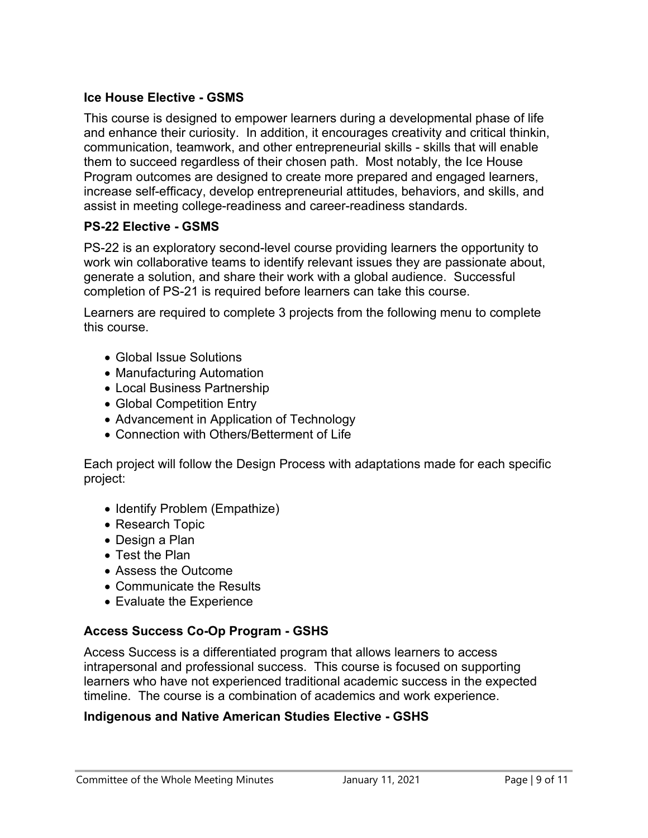# **Ice House Elective - GSMS**

This course is designed to empower learners during a developmental phase of life and enhance their curiosity. In addition, it encourages creativity and critical thinkin, communication, teamwork, and other entrepreneurial skills - skills that will enable them to succeed regardless of their chosen path. Most notably, the Ice House Program outcomes are designed to create more prepared and engaged learners, increase self-efficacy, develop entrepreneurial attitudes, behaviors, and skills, and assist in meeting college-readiness and career-readiness standards.

# **PS-22 Elective - GSMS**

PS-22 is an exploratory second-level course providing learners the opportunity to work win collaborative teams to identify relevant issues they are passionate about, generate a solution, and share their work with a global audience. Successful completion of PS-21 is required before learners can take this course.

Learners are required to complete 3 projects from the following menu to complete this course.

- Global Issue Solutions
- Manufacturing Automation
- Local Business Partnership
- Global Competition Entry
- Advancement in Application of Technology
- Connection with Others/Betterment of Life

Each project will follow the Design Process with adaptations made for each specific project:

- Identify Problem (Empathize)
- Research Topic
- Design a Plan
- Test the Plan
- Assess the Outcome
- Communicate the Results
- Evaluate the Experience

## **Access Success Co-Op Program - GSHS**

Access Success is a differentiated program that allows learners to access intrapersonal and professional success. This course is focused on supporting learners who have not experienced traditional academic success in the expected timeline. The course is a combination of academics and work experience.

### **Indigenous and Native American Studies Elective - GSHS**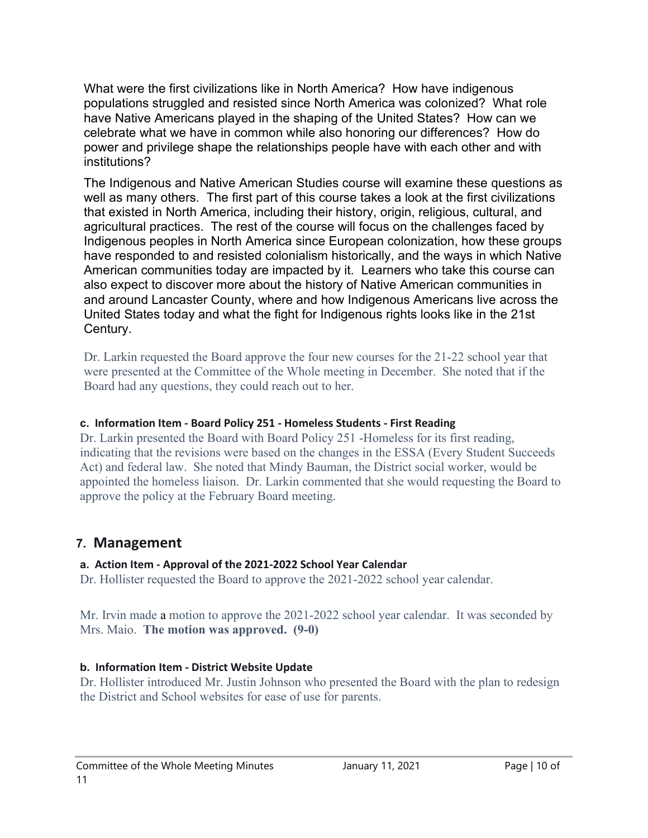What were the first civilizations like in North America? How have indigenous populations struggled and resisted since North America was colonized? What role have Native Americans played in the shaping of the United States? How can we celebrate what we have in common while also honoring our differences? How do power and privilege shape the relationships people have with each other and with institutions?

The Indigenous and Native American Studies course will examine these questions as well as many others. The first part of this course takes a look at the first civilizations that existed in North America, including their history, origin, religious, cultural, and agricultural practices. The rest of the course will focus on the challenges faced by Indigenous peoples in North America since European colonization, how these groups have responded to and resisted colonialism historically, and the ways in which Native American communities today are impacted by it. Learners who take this course can also expect to discover more about the history of Native American communities in and around Lancaster County, where and how Indigenous Americans live across the United States today and what the fight for Indigenous rights looks like in the 21st Century.

Dr. Larkin requested the Board approve the four new courses for the 21-22 school year that were presented at the Committee of the Whole meeting in December. She noted that if the Board had any questions, they could reach out to her.

### **c. Information Item - Board Policy 251 - Homeless Students - First Reading**

Dr. Larkin presented the Board with Board Policy 251 -Homeless for its first reading, indicating that the revisions were based on the changes in the ESSA (Every Student Succeeds Act) and federal law. She noted that Mindy Bauman, the District social worker, would be appointed the homeless liaison. Dr. Larkin commented that she would requesting the Board to approve the policy at the February Board meeting.

# **7. Management**

## **a. Action Item - Approval of the 2021-2022 School Year Calendar**

Dr. Hollister requested the Board to approve the 2021-2022 school year calendar.

Mr. Irvin made a motion to approve the 2021-2022 school year calendar. It was seconded by Mrs. Maio. **The motion was approved. (9-0)**

## **b. Information Item - District Website Update**

Dr. Hollister introduced Mr. Justin Johnson who presented the Board with the plan to redesign the District and School websites for ease of use for parents.